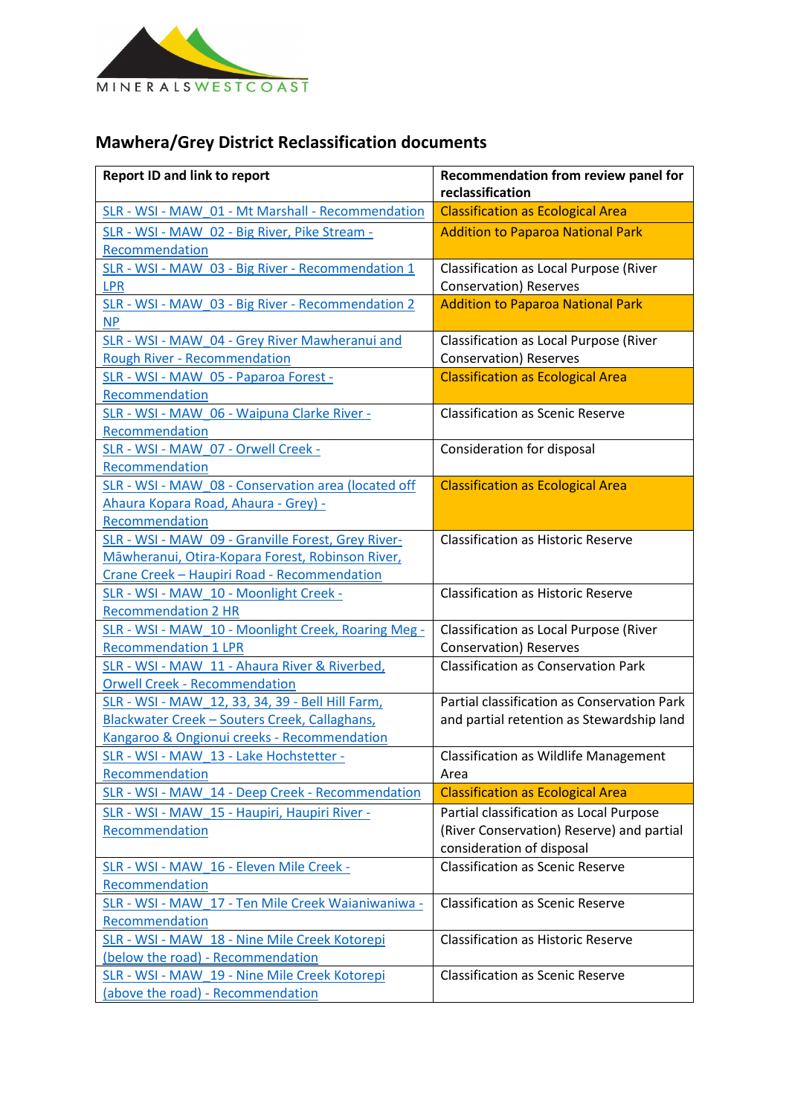

## **Mawhera/Grey District Reclassification documents**

| <b>Report ID and link to report</b>                                                                                                                   | Recommendation from review panel for<br>reclassification                                                          |
|-------------------------------------------------------------------------------------------------------------------------------------------------------|-------------------------------------------------------------------------------------------------------------------|
| SLR - WSI - MAW 01 - Mt Marshall - Recommendation                                                                                                     | <b>Classification as Ecological Area</b>                                                                          |
| SLR - WSI - MAW 02 - Big River, Pike Stream -<br>Recommendation                                                                                       | <b>Addition to Paparoa National Park</b>                                                                          |
| SLR - WSI - MAW 03 - Big River - Recommendation 1<br><b>LPR</b>                                                                                       | Classification as Local Purpose (River<br><b>Conservation</b> ) Reserves                                          |
| SLR - WSI - MAW 03 - Big River - Recommendation 2<br><b>NP</b>                                                                                        | <b>Addition to Paparoa National Park</b>                                                                          |
| SLR - WSI - MAW 04 - Grey River Mawheranui and<br><b>Rough River - Recommendation</b>                                                                 | Classification as Local Purpose (River<br><b>Conservation</b> ) Reserves                                          |
| SLR - WSI - MAW 05 - Paparoa Forest -<br>Recommendation                                                                                               | <b>Classification as Ecological Area</b>                                                                          |
| SLR - WSI - MAW 06 - Waipuna Clarke River -<br>Recommendation                                                                                         | <b>Classification as Scenic Reserve</b>                                                                           |
| SLR - WSI - MAW 07 - Orwell Creek -<br>Recommendation                                                                                                 | Consideration for disposal                                                                                        |
| SLR - WSI - MAW 08 - Conservation area (located off<br>Ahaura Kopara Road, Ahaura - Grey) -<br>Recommendation                                         | <b>Classification as Ecological Area</b>                                                                          |
| SLR - WSI - MAW_09 - Granville Forest, Grey River-<br>Māwheranui, Otira-Kopara Forest, Robinson River,<br>Crane Creek - Haupiri Road - Recommendation | <b>Classification as Historic Reserve</b>                                                                         |
| SLR - WSI - MAW 10 - Moonlight Creek -<br><b>Recommendation 2 HR</b>                                                                                  | <b>Classification as Historic Reserve</b>                                                                         |
| SLR - WSI - MAW 10 - Moonlight Creek, Roaring Meg -<br><b>Recommendation 1 LPR</b>                                                                    | Classification as Local Purpose (River<br><b>Conservation</b> ) Reserves                                          |
| SLR - WSI - MAW 11 - Ahaura River & Riverbed,<br><b>Orwell Creek - Recommendation</b>                                                                 | <b>Classification as Conservation Park</b>                                                                        |
| SLR - WSI - MAW 12, 33, 34, 39 - Bell Hill Farm,<br>Blackwater Creek - Souters Creek, Callaghans,<br>Kangaroo & Ongionui creeks - Recommendation      | Partial classification as Conservation Park<br>and partial retention as Stewardship land                          |
| SLR - WSI - MAW 13 - Lake Hochstetter -<br>Recommendation                                                                                             | <b>Classification as Wildlife Management</b><br>Area                                                              |
| SLR - WSI - MAW 14 - Deep Creek - Recommendation                                                                                                      | <b>Classification as Ecological Area</b>                                                                          |
| SLR - WSI - MAW 15 - Haupiri, Haupiri River -<br>Recommendation                                                                                       | Partial classification as Local Purpose<br>(River Conservation) Reserve) and partial<br>consideration of disposal |
| SLR - WSI - MAW 16 - Eleven Mile Creek -<br>Recommendation                                                                                            | <b>Classification as Scenic Reserve</b>                                                                           |
| SLR - WSI - MAW 17 - Ten Mile Creek Waianiwaniwa -<br>Recommendation                                                                                  | <b>Classification as Scenic Reserve</b>                                                                           |
| SLR - WSI - MAW 18 - Nine Mile Creek Kotorepi<br>(below the road) - Recommendation                                                                    | <b>Classification as Historic Reserve</b>                                                                         |
| SLR - WSI - MAW 19 - Nine Mile Creek Kotorepi<br>(above the road) - Recommendation                                                                    | <b>Classification as Scenic Reserve</b>                                                                           |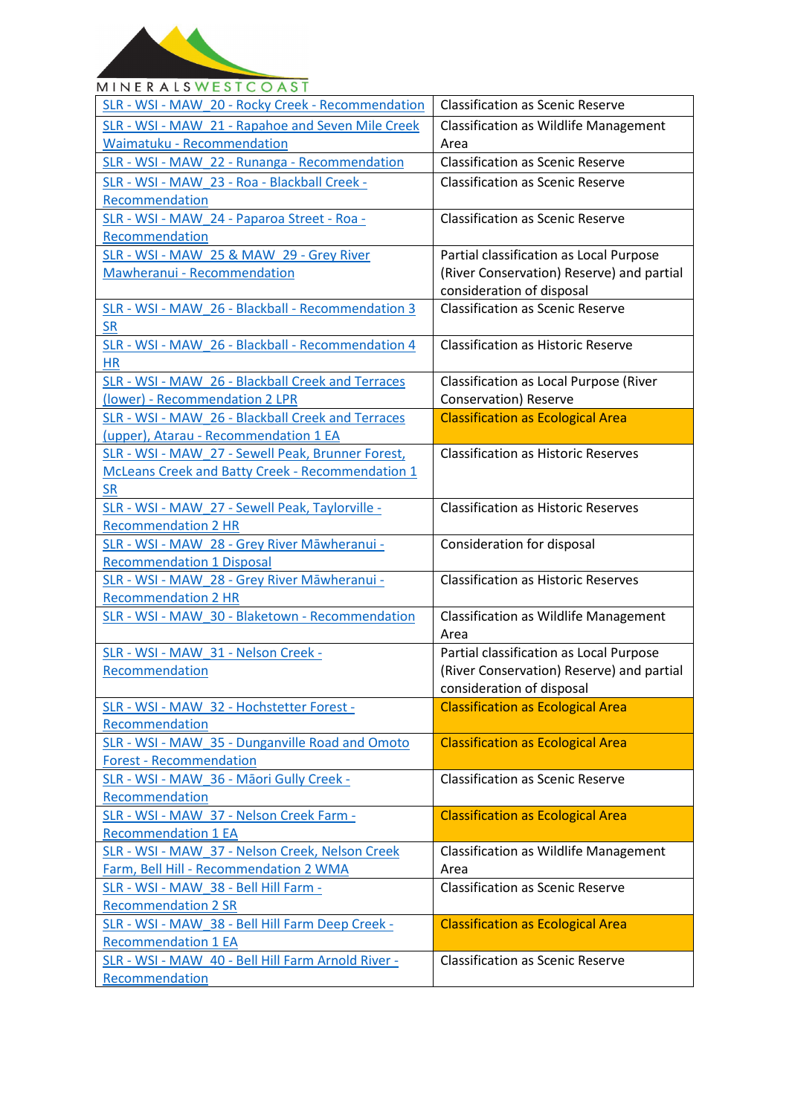

## **MINERALSWESTCOAST** SLR - WSI - MAW\_20 - Rocky Creek - [Recommendation](https://ftp.doc.govt.nz/public/folder/QoaMQSDPtUywKLkTQUFq0Q/recommendations/mawhera-place/SLR%20-%20WSI%20-%20MAW_20%20-%20Rocky%20Creek%20-%20Recommendation.pdf) | Classification as Scenic Reserve SLR - WSI - MAW\_21 - [Rapahoe and Seven Mile Creek](https://ftp.doc.govt.nz/public/folder/QoaMQSDPtUywKLkTQUFq0Q/recommendations/mawhera-place/SLR%20-%20WSI%20-%20MAW_21%20-%20Rapahoe%20and%20Seven%20Mile%20Creek%20Waimatuku%20-%20Recommendation.pdf)  Classification as Wildlife Management Waimatuku - [Recommendation](https://ftp.doc.govt.nz/public/folder/QoaMQSDPtUywKLkTQUFq0Q/recommendations/mawhera-place/SLR%20-%20WSI%20-%20MAW_21%20-%20Rapahoe%20and%20Seven%20Mile%20Creek%20Waimatuku%20-%20Recommendation.pdf) Area SLR - WSI - MAW\_22 - Runanga - [Recommendation](https://ftp.doc.govt.nz/public/folder/QoaMQSDPtUywKLkTQUFq0Q/recommendations/mawhera-place/SLR%20-%20WSI%20-%20MAW_22%20-%20Runanga%20-%20Recommendation.pdf) | Classification as Scenic Reserve SLR - WSI - MAW\_23 - Roa - [Blackball Creek -](https://ftp.doc.govt.nz/public/folder/QoaMQSDPtUywKLkTQUFq0Q/recommendations/mawhera-place/SLR%20-%20WSI%20-%20MAW_23%20-%20Roa%20-%20Blackball%20Creek%20-%20Recommendation.pdf) Classification as Scenic Reserve [Recommendation](https://ftp.doc.govt.nz/public/folder/QoaMQSDPtUywKLkTQUFq0Q/recommendations/mawhera-place/SLR%20-%20WSI%20-%20MAW_23%20-%20Roa%20-%20Blackball%20Creek%20-%20Recommendation.pdf) SLR - WSI - MAW\_24 - [Paparoa Street -](https://ftp.doc.govt.nz/public/folder/QoaMQSDPtUywKLkTQUFq0Q/recommendations/mawhera-place/SLR%20-%20WSI%20-%20MAW_24%20-%20Paparoa%20Street%20-%20Roa%20-%20Recommendation.pdf) Roa - Classification as Scenic Reserve [Recommendation](https://ftp.doc.govt.nz/public/folder/QoaMQSDPtUywKLkTQUFq0Q/recommendations/mawhera-place/SLR%20-%20WSI%20-%20MAW_24%20-%20Paparoa%20Street%20-%20Roa%20-%20Recommendation.pdf) SLR - WSI - [MAW\\_25 & MAW\\_29 -](https://ftp.doc.govt.nz/public/folder/QoaMQSDPtUywKLkTQUFq0Q/recommendations/mawhera-place/SLR%20-%20WSI%20-%20MAW_25%20%26%20MAW_29%20-%20Grey%20River%20Mawheranui%20-%20Recommendation.pdf) Grey River Partial classification as Local Purpose [Mawheranui - Recommendation](https://ftp.doc.govt.nz/public/folder/QoaMQSDPtUywKLkTQUFq0Q/recommendations/mawhera-place/SLR%20-%20WSI%20-%20MAW_25%20%26%20MAW_29%20-%20Grey%20River%20Mawheranui%20-%20Recommendation.pdf) (River Conservation) Reserve) and partial consideration of disposal SLR - WSI - MAW\_26 - Blackball - [Recommendation 3](https://ftp.doc.govt.nz/public/folder/QoaMQSDPtUywKLkTQUFq0Q/recommendations/mawhera-place/SLR%20-%20WSI%20-%20MAW_26%20-%20Blackball%20%20-%20Recommendation%203%20SR.pdf)  Classification as Scenic Reserve [SR](https://ftp.doc.govt.nz/public/folder/QoaMQSDPtUywKLkTQUFq0Q/recommendations/mawhera-place/SLR%20-%20WSI%20-%20MAW_26%20-%20Blackball%20%20-%20Recommendation%203%20SR.pdf) Classification as Historic Reserve SLR - WSI - MAW\_26 - Blackball - [Recommendation 4](https://ftp.doc.govt.nz/public/folder/QoaMQSDPtUywKLkTQUFq0Q/recommendations/mawhera-place/SLR%20-%20WSI%20-%20MAW_26%20-%20Blackball%20%20-%20Recommendation%204%20HR.pdf)  [HR](https://ftp.doc.govt.nz/public/folder/QoaMQSDPtUywKLkTQUFq0Q/recommendations/mawhera-place/SLR%20-%20WSI%20-%20MAW_26%20-%20Blackball%20%20-%20Recommendation%204%20HR.pdf) SLR - WSI - MAW\_26 - [Blackball Creek and Terraces](https://ftp.doc.govt.nz/public/folder/QoaMQSDPtUywKLkTQUFq0Q/recommendations/mawhera-place/SLR%20-%20WSI%20-%20MAW_26%20-%20Blackball%20Creek%20and%20Terraces%20(lower)%20-%20Recommendation%202%20LPR.pdf)  Classification as Local Purpose (River (lower) - [Recommendation 2 LPR](https://ftp.doc.govt.nz/public/folder/QoaMQSDPtUywKLkTQUFq0Q/recommendations/mawhera-place/SLR%20-%20WSI%20-%20MAW_26%20-%20Blackball%20Creek%20and%20Terraces%20(lower)%20-%20Recommendation%202%20LPR.pdf) Conservation) Reserve SLR - WSI - MAW\_26 - [Blackball Creek and Terraces](https://ftp.doc.govt.nz/public/folder/QoaMQSDPtUywKLkTQUFq0Q/recommendations/mawhera-place/SLR%20-%20WSI%20-%20MAW_26%20-%20Blackball%20Creek%20and%20Terraces%20(upper)%2C%20Atarau%20-%20Recommendation%201%20EA.pdf)  Classification as Ecological Area (upper), Atarau - [Recommendation 1 EA](https://ftp.doc.govt.nz/public/folder/QoaMQSDPtUywKLkTQUFq0Q/recommendations/mawhera-place/SLR%20-%20WSI%20-%20MAW_26%20-%20Blackball%20Creek%20and%20Terraces%20(upper)%2C%20Atarau%20-%20Recommendation%201%20EA.pdf) SLR - WSI - MAW\_27 - [Sewell Peak, Brunner Forest,](https://ftp.doc.govt.nz/public/folder/QoaMQSDPtUywKLkTQUFq0Q/recommendations/mawhera-place/SLR%20-%20WSI%20-%20MAW_27%20-%20Sewell%20Peak%2C%20Taylorville%20-%20Recommendation%202%20HR.pdf)  Classification as Historic Reserves [McLeans Creek and Batty Creek - Recommendation 1](https://ftp.doc.govt.nz/public/folder/QoaMQSDPtUywKLkTQUFq0Q/recommendations/mawhera-place/SLR%20-%20WSI%20-%20MAW_27%20-%20Sewell%20Peak%2C%20Taylorville%20-%20Recommendation%202%20HR.pdf)  [SR](https://ftp.doc.govt.nz/public/folder/QoaMQSDPtUywKLkTQUFq0Q/recommendations/mawhera-place/SLR%20-%20WSI%20-%20MAW_27%20-%20Sewell%20Peak%2C%20Taylorville%20-%20Recommendation%202%20HR.pdf) SLR - WSI - MAW\_27 - [Sewell Peak, Taylorville -](https://ftp.doc.govt.nz/public/folder/QoaMQSDPtUywKLkTQUFq0Q/recommendations/mawhera-place/SLR%20-%20WSI%20-%20MAW_28%20-%20Grey%20River%20M%C4%81wheranui%20-%20Recommendation%201%20Disposal.pdf) Classification as Historic Reserves [Recommendation 2 HR](https://ftp.doc.govt.nz/public/folder/QoaMQSDPtUywKLkTQUFq0Q/recommendations/mawhera-place/SLR%20-%20WSI%20-%20MAW_28%20-%20Grey%20River%20M%C4%81wheranui%20-%20Recommendation%201%20Disposal.pdf) SLR - WSI - MAW\_28 - [Grey River Māwheranui](https://ftp.doc.govt.nz/public/folder/QoaMQSDPtUywKLkTQUFq0Q/recommendations/mawhera-place/SLR%20-%20WSI%20-%20MAW_28%20-%20Grey%20River%20M%C4%81wheranui%20-%20Recommendation%202%20HR.pdf) - Consideration for disposal [Recommendation 1 Disposal](https://ftp.doc.govt.nz/public/folder/QoaMQSDPtUywKLkTQUFq0Q/recommendations/mawhera-place/SLR%20-%20WSI%20-%20MAW_28%20-%20Grey%20River%20M%C4%81wheranui%20-%20Recommendation%202%20HR.pdf) SLR - WSI - MAW\_28 - [Grey River Māwheranui](https://ftp.doc.govt.nz/public/folder/QoaMQSDPtUywKLkTQUFq0Q/recommendations/mawhera-place/SLR%20-%20WSI%20-%20MAW_30%20-%20Blaketown%20-%20Recommendation.pdf) - Classification as Historic Reserves [Recommendation 2 HR](https://ftp.doc.govt.nz/public/folder/QoaMQSDPtUywKLkTQUFq0Q/recommendations/mawhera-place/SLR%20-%20WSI%20-%20MAW_30%20-%20Blaketown%20-%20Recommendation.pdf) SLR - WSI - MAW\_30 - Blaketown - [Recommendation](https://ftp.doc.govt.nz/public/folder/QoaMQSDPtUywKLkTQUFq0Q/recommendations/mawhera-place/SLR%20-%20WSI%20-%20MAW_30%20-%20Blaketown%20-%20Recommendation.pdf) Classification as Wildlife Management Area SLR - WSI - MAW\_31 - [Nelson Creek -](https://ftp.doc.govt.nz/public/folder/QoaMQSDPtUywKLkTQUFq0Q/recommendations/mawhera-place/SLR%20-%20WSI%20-%20MAW_31%20-%20Nelson%20Creek%20-%20Recommendation.pdf) Partial classification as Local Purpose [Recommendation](https://ftp.doc.govt.nz/public/folder/QoaMQSDPtUywKLkTQUFq0Q/recommendations/mawhera-place/SLR%20-%20WSI%20-%20MAW_31%20-%20Nelson%20Creek%20-%20Recommendation.pdf) (River Conservation) Reserve) and partial consideration of disposal SLR - WSI - MAW\_32 - [Hochstetter Forest -](https://ftp.doc.govt.nz/public/folder/QoaMQSDPtUywKLkTQUFq0Q/recommendations/mawhera-place/SLR%20-%20WSI%20-%20MAW_32%20-%20Hochstetter%20Forest%20-%20Recommendation.pdf) Classification as Ecological Area [Recommendation](https://ftp.doc.govt.nz/public/folder/QoaMQSDPtUywKLkTQUFq0Q/recommendations/mawhera-place/SLR%20-%20WSI%20-%20MAW_32%20-%20Hochstetter%20Forest%20-%20Recommendation.pdf) SLR - WSI - MAW\_35 - [Dunganville Road and Omoto](https://ftp.doc.govt.nz/public/folder/QoaMQSDPtUywKLkTQUFq0Q/recommendations/mawhera-place/SLR%20-%20WSI%20-%20MAW_35%20-%20Dunganville%20Road%20and%20Omoto%20Forest%20-%20Recommendation.pdf)  Classification as Ecological Area Forest - [Recommendation](https://ftp.doc.govt.nz/public/folder/QoaMQSDPtUywKLkTQUFq0Q/recommendations/mawhera-place/SLR%20-%20WSI%20-%20MAW_35%20-%20Dunganville%20Road%20and%20Omoto%20Forest%20-%20Recommendation.pdf) SLR - WSI - MAW\_36 - [Māori Gully Creek](https://ftp.doc.govt.nz/public/folder/QoaMQSDPtUywKLkTQUFq0Q/recommendations/mawhera-place/SLR%20-%20WSI%20-%20MAW_36%20-%20M%C4%81ori%20Gully%20Creek%20-%20Recommendation.pdf) - Classification as Scenic Reserve [Recommendation](https://ftp.doc.govt.nz/public/folder/QoaMQSDPtUywKLkTQUFq0Q/recommendations/mawhera-place/SLR%20-%20WSI%20-%20MAW_36%20-%20M%C4%81ori%20Gully%20Creek%20-%20Recommendation.pdf) SLR - WSI - MAW\_37 - [Nelson Creek Farm -](https://ftp.doc.govt.nz/public/folder/QoaMQSDPtUywKLkTQUFq0Q/recommendations/mawhera-place/SLR%20-%20WSI%20-%20MAW_37%20-%20Nelson%20Creek%20Farm%20-%20Recommendation%201%20EA.pdf) Classification as Ecological Area [Recommendation 1 EA](https://ftp.doc.govt.nz/public/folder/QoaMQSDPtUywKLkTQUFq0Q/recommendations/mawhera-place/SLR%20-%20WSI%20-%20MAW_37%20-%20Nelson%20Creek%20Farm%20-%20Recommendation%201%20EA.pdf) SLR - WSI - MAW\_37 - [Nelson Creek, Nelson Creek](https://ftp.doc.govt.nz/public/folder/QoaMQSDPtUywKLkTQUFq0Q/recommendations/mawhera-place/SLR%20-%20WSI%20-%20MAW_37%20-%20Nelson%20Creek%2C%20Nelson%20Creek%20Farm%2C%20Bell%20Hill%20-%20Recommendation%202%20WMA.pdf)  Classification as Wildlife Management Farm, Bell Hill - [Recommendation 2 WMA](https://ftp.doc.govt.nz/public/folder/QoaMQSDPtUywKLkTQUFq0Q/recommendations/mawhera-place/SLR%20-%20WSI%20-%20MAW_37%20-%20Nelson%20Creek%2C%20Nelson%20Creek%20Farm%2C%20Bell%20Hill%20-%20Recommendation%202%20WMA.pdf) Area SLR - WSI - MAW\_38 - [Bell Hill Farm -](https://ftp.doc.govt.nz/public/folder/QoaMQSDPtUywKLkTQUFq0Q/recommendations/mawhera-place/SLR%20-%20WSI%20-%20MAW_38%20-%20Bell%20Hill%20Farm%20-%20Recommendation%202%20SR.pdf) Classification as Scenic Reserve [Recommendation 2 SR](https://ftp.doc.govt.nz/public/folder/QoaMQSDPtUywKLkTQUFq0Q/recommendations/mawhera-place/SLR%20-%20WSI%20-%20MAW_38%20-%20Bell%20Hill%20Farm%20-%20Recommendation%202%20SR.pdf) SLR - WSI - MAW\_38 - [Bell Hill Farm Deep Creek -](https://ftp.doc.govt.nz/public/folder/QoaMQSDPtUywKLkTQUFq0Q/recommendations/mawhera-place/SLR%20-%20WSI%20-%20MAW_38%20-%20Bell%20Hill%20Farm%20Deep%20Creek%20-%20Recommendation%201%20EA.pdf) Classification as Ecological Area [Recommendation 1 EA](https://ftp.doc.govt.nz/public/folder/QoaMQSDPtUywKLkTQUFq0Q/recommendations/mawhera-place/SLR%20-%20WSI%20-%20MAW_38%20-%20Bell%20Hill%20Farm%20Deep%20Creek%20-%20Recommendation%201%20EA.pdf) SLR - WSI - MAW\_40 - [Bell Hill Farm Arnold River -](https://ftp.doc.govt.nz/public/folder/QoaMQSDPtUywKLkTQUFq0Q/recommendations/mawhera-place/SLR%20-%20WSI%20-%20MAW_40%20-%20Bell%20Hill%20Farm%20Arnold%20River%20-%20Recommendation.pdf) Classification as Scenic Reserve[Recommendation](https://ftp.doc.govt.nz/public/folder/QoaMQSDPtUywKLkTQUFq0Q/recommendations/mawhera-place/SLR%20-%20WSI%20-%20MAW_40%20-%20Bell%20Hill%20Farm%20Arnold%20River%20-%20Recommendation.pdf)